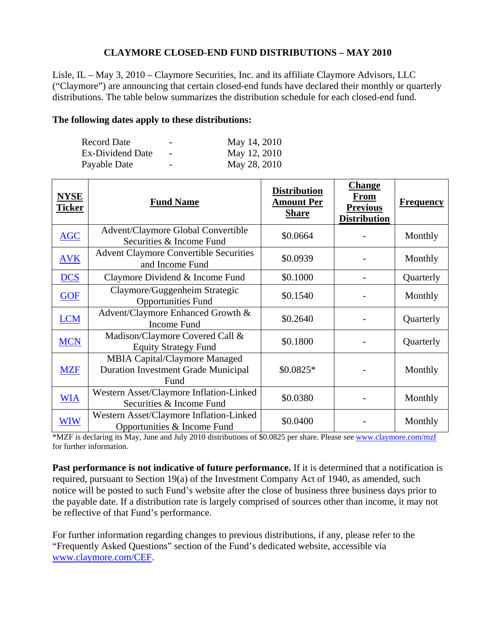## **CLAYMORE CLOSED-END FUND DISTRIBUTIONS – MAY 2010**

Lisle, IL – May 3, 2010 – Claymore Securities, Inc. and its affiliate Claymore Advisors, LLC ("Claymore") are announcing that certain closed-end funds have declared their monthly or quarterly distributions. The table below summarizes the distribution schedule for each closed-end fund.

## **The following dates apply to these distributions:**

| Record Date             | $\overline{\phantom{0}}$ | May 14, 2010 |
|-------------------------|--------------------------|--------------|
| <b>Ex-Dividend Date</b> | $\overline{\phantom{a}}$ | May 12, 2010 |
| Payable Date            | $\overline{\phantom{0}}$ | May 28, 2010 |

| <b>NYSE</b><br><b>Ticker</b> | <b>Fund Name</b>                                                                           | <b>Distribution</b><br><b>Amount Per</b><br><b>Share</b> | <b>Change</b><br><b>From</b><br><b>Previous</b><br><b>Distribution</b> | <b>Frequency</b> |
|------------------------------|--------------------------------------------------------------------------------------------|----------------------------------------------------------|------------------------------------------------------------------------|------------------|
| <b>AGC</b>                   | <b>Advent/Claymore Global Convertible</b><br>Securities & Income Fund                      | \$0.0664                                                 |                                                                        | Monthly          |
| <b>AVK</b>                   | <b>Advent Claymore Convertible Securities</b><br>and Income Fund                           | \$0.0939                                                 |                                                                        | Monthly          |
| <b>DCS</b>                   | Claymore Dividend & Income Fund                                                            | \$0.1000                                                 |                                                                        | Quarterly        |
| <b>GOF</b>                   | Claymore/Guggenheim Strategic<br><b>Opportunities Fund</b>                                 | \$0.1540                                                 |                                                                        | Monthly          |
| <b>LCM</b>                   | Advent/Claymore Enhanced Growth &<br><b>Income Fund</b>                                    | \$0.2640                                                 |                                                                        | Quarterly        |
| <b>MCN</b>                   | Madison/Claymore Covered Call &<br><b>Equity Strategy Fund</b>                             | \$0.1800                                                 |                                                                        | Quarterly        |
| <b>MZF</b>                   | <b>MBIA Capital/Claymore Managed</b><br><b>Duration Investment Grade Municipal</b><br>Fund | $$0.0825*$                                               |                                                                        | Monthly          |
| <b>WIA</b>                   | Western Asset/Claymore Inflation-Linked<br>Securities & Income Fund                        | \$0.0380                                                 |                                                                        | Monthly          |
| WIW                          | Western Asset/Claymore Inflation-Linked<br>Opportunities & Income Fund                     | \$0.0400                                                 |                                                                        | Monthly          |

\*MZF is declaring its May, June and July 2010 distributions of \$0.0825 per share. Please see www.claymore.com/mzf for further information.

**Past performance is not indicative of future performance.** If it is determined that a notification is required, pursuant to Section 19(a) of the Investment Company Act of 1940, as amended, such notice will be posted to such Fund's website after the close of business three business days prior to the payable date. If a distribution rate is largely comprised of sources other than income, it may not be reflective of that Fund's performance.

For further information regarding changes to previous distributions, if any, please refer to the "Frequently Asked Questions" section of the Fund's dedicated website, accessible via www.claymore.com/CEF.